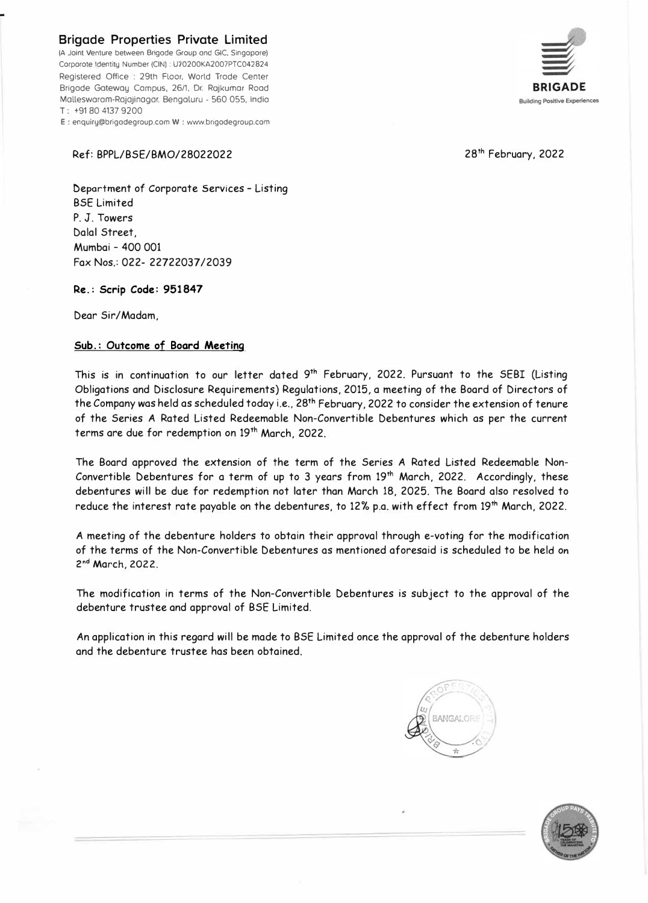**Brigade Properties Private Limited** 

(A Joint Venture between Brigode Group ond GIC. Singopore) Corporote Identity Number (CIN) : U70200KA2007PTC042824 Registered Office : 29th Floor, World Trade Center Brigade Gotewoy Campus. 26/1, Dr. Rojkumor Rood Mallesworam-Rajajinagor. Bengoluru - 560 055, India T: +91 80 4137 9200 E : enquiry@brigodegroup.com W : www.brigodegroup.com



28<sup>th</sup> February, 2022

## Ref: BPPL/BSE/BMO/28022022

Deportment of Corporate Services - Listing BSE Limited P. J. Towers Dalal Street, Mumbai - 400 001 Fax Nos.: 022- 22722037 /2039

**Re.: Scrip Code: 951847** 

Dear Sir/Madam,

## **Sub.: Outcome of Board Meeting**

This is in continuation to our letter dated 9 **th** February, 2022. Pursuant to the SEBI (Listing Obligations and Disclosure Requirements) Regulations, 2015, a meeting of the Board of Directors of the Company was held as scheduled today i.e., 28**<sup>t</sup> <sup>h</sup>**February, 2022 to consider the extension of tenure of the Series A Rated Listed Redeemable Non-Convertible Debentures which as per the current terms are due for redemption on 19**th** March, 2022.

The Board approved the extension of the term of the Series A Rated Listed Redeemable Non-Convertible Debentures for a term of up to 3 years from 19**th** March, 2022. Accordingly, these debentures will be due for redemption not later than March 18, 2025. The Board also resolved to reduce the interest rate payable on the debentures, to 12% p.a. with effect from 19**th** March, 2022.

A meeting of the debenture holders to obtain their approval through e-voting for the modification of the terms of the Non-Convertible Debentures as mentioned aforesaid is scheduled to be held on 2 **nd** March, **2022.**

The modification in terms of the Non-Convertible Debentures is subject to the approval of the debenture trustee and approval of BSE Limited.

An application in this regard will be made to BSE Limited once the approval of the debenture holders and the debenture trustee has been obtained.